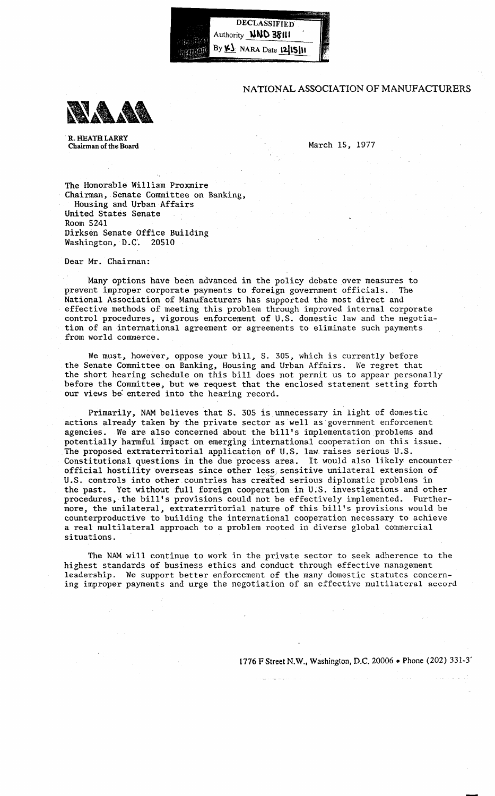

## NATIONAL ASSOCIATION OF MANUFACTURERS



R. HEATH LARRY Chairman of the Board

March IS, 1977

The Honorable William Proxmire Chairman, Senate Committee on Banking, Housing and Urban Affairs United States Senate Room 5241 Dirksen Senate Office Building Washington, D.C. 20510

Dear Mr. Chairman:

Many options have been advanced in the policy debate over measures to prevent improper corporate payments to foreign government officials. The National Association of Manufacturers has supported the most direct and effective methods of meeting this problem through improved internal corporate control procedures, vigorous enforcement of U.S. domestic law and the negotiation of an international agreement or agreements to eliminate such payments from world commerce.

We must, however, oppose your bill, S. 305, which is currently before the Senate Committee on Banking, Housing and Urban Affairs. We regret that the short hearing schedule on this bill does not permit us to appear personally before the Committee, but we request that the enclosed statement setting forth our views be entered into the hearing record.

Primarily, NAM believes that S. 305 is unnecessary in light of domestic actions already taken by the private sector as well as government enforcement agencies. We are also concerned about the bill's implementation problems and potentially harmful impact on emerging international cooperation on this issue. The proposed extraterritorial application of U.S. law raises serious U.S. Constitutional questions in the due process area. It would also likely encounter official hostility overseas since other less, sensitive unilateral extension of U.S. controls into other countries has created serious diplomatic problems in the past. Yet without full foreign cooperation in U.S. investigations and other procedures, the bill's provisions could not be effectively implemented. Furthermore, the unilateral, extraterritorial nature of this bill's provisions would be counterproductive to building the international cooperation necessary to achieve a real multilateral approach to a problem rooted in diverse global commercial situations.

The NAM will continue to work in the private sector to seek adherence to the highest standards of business ethics and conduct through effective management leadership. We support better enforcement of the many domestic statutes concerning improper payments and urge the negotiation of an effective multilateral accord

1776 F Street N.W., Washington, D.C. 20006 • Phone (202) 331-3'